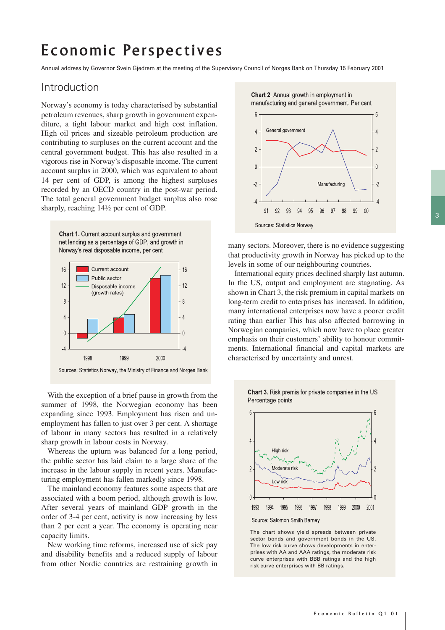# Economic Perspectives

Annual address by Governor Svein Gjedrem at the meeting of the Supervisory Council of Norges Bank on Thursday 15 February 2001

## Introduction

Norway's economy is today characterised by substantial petroleum revenues, sharp growth in government expenditure, a tight labour market and high cost inflation. High oil prices and sizeable petroleum production are contributing to surpluses on the current account and the central government budget. This has also resulted in a vigorous rise in Norway's disposable income. The current account surplus in 2000, which was equivalent to about 14 per cent of GDP, is among the highest surpluses recorded by an OECD country in the post-war period. The total general government budget surplus also rose sharply, reaching 14½ per cent of GDP.

Chart 1. Current account surplus and government net lending as a percentage of GDP, and growth in Norway's real disposable income, per cent



With the exception of a brief pause in growth from the summer of 1998, the Norwegian economy has been expanding since 1993. Employment has risen and unemployment has fallen to just over 3 per cent. A shortage of labour in many sectors has resulted in a relatively sharp growth in labour costs in Norway.

Whereas the upturn was balanced for a long period, the public sector has laid claim to a large share of the increase in the labour supply in recent years. Manufacturing employment has fallen markedly since 1998.

The mainland economy features some aspects that are associated with a boom period, although growth is low. After several years of mainland GDP growth in the order of 3-4 per cent, activity is now increasing by less than 2 per cent a year. The economy is operating near capacity limits.

New working time reforms, increased use of sick pay and disability benefits and a reduced supply of labour from other Nordic countries are restraining growth in Chart 2. Annual growth in employment in manufacturing and general government. Per cent



many sectors. Moreover, there is no evidence suggesting that productivity growth in Norway has picked up to the levels in some of our neighbouring countries.

International equity prices declined sharply last autumn. In the US, output and employment are stagnating. As shown in Chart 3, the risk premium in capital markets on long-term credit to enterprises has increased. In addition, many international enterprises now have a poorer credit rating than earlier This has also affected borrowing in Norwegian companies, which now have to place greater emphasis on their customers' ability to honour commitments. International financial and capital markets are characterised by uncertainty and unrest.



The chart shows yield spreads between private sector bonds and government bonds in the US. The low risk curve shows developments in enterprises with AA and AAA ratings, the moderate risk curve enterprises with BBB ratings and the high risk curve enterprises with BB ratings.

Chart 3. Risk premia for private companies in the US Percentage points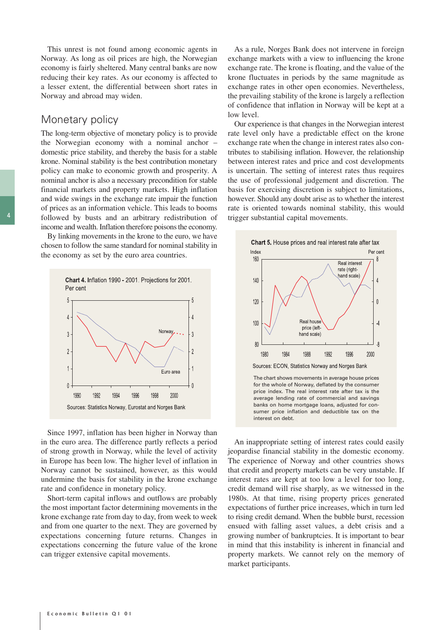This unrest is not found among economic agents in Norway. As long as oil prices are high, the Norwegian economy is fairly sheltered. Many central banks are now reducing their key rates. As our economy is affected to a lesser extent, the differential between short rates in Norway and abroad may widen.

#### Monetary policy

The long-term objective of monetary policy is to provide the Norwegian economy with a nominal anchor – domestic price stability, and thereby the basis for a stable krone. Nominal stability is the best contribution monetary policy can make to economic growth and prosperity. A nominal anchor is also a necessary precondition for stable financial markets and property markets. High inflation and wide swings in the exchange rate impair the function of prices as an information vehicle. This leads to booms followed by busts and an arbitrary redistribution of income and wealth. Inflation therefore poisons the economy.

By linking movements in the krone to the euro, we have chosen to follow the same standard for nominal stability in the economy as set by the euro area countries.



Since 1997, inflation has been higher in Norway than in the euro area. The difference partly reflects a period of strong growth in Norway, while the level of activity in Europe has been low. The higher level of inflation in Norway cannot be sustained, however, as this would undermine the basis for stability in the krone exchange rate and confidence in monetary policy.

Short-term capital inflows and outflows are probably the most important factor determining movements in the krone exchange rate from day to day, from week to week and from one quarter to the next. They are governed by expectations concerning future returns. Changes in expectations concerning the future value of the krone can trigger extensive capital movements.

As a rule, Norges Bank does not intervene in foreign exchange markets with a view to influencing the krone exchange rate. The krone is floating, and the value of the krone fluctuates in periods by the same magnitude as exchange rates in other open economies. Nevertheless, the prevailing stability of the krone is largely a reflection of confidence that inflation in Norway will be kept at a low level.

Our experience is that changes in the Norwegian interest rate level only have a predictable effect on the krone exchange rate when the change in interest rates also contributes to stabilising inflation. However, the relationship between interest rates and price and cost developments is uncertain. The setting of interest rates thus requires the use of professional judgement and discretion. The basis for exercising discretion is subject to limitations, however. Should any doubt arise as to whether the interest rate is oriented towards nominal stability, this would trigger substantial capital movements.



An inappropriate setting of interest rates could easily jeopardise financial stability in the domestic economy. The experience of Norway and other countries shows that credit and property markets can be very unstable. If interest rates are kept at too low a level for too long, credit demand will rise sharply, as we witnessed in the 1980s. At that time, rising property prices generated expectations of further price increases, which in turn led to rising credit demand. When the bubble burst, recession ensued with falling asset values, a debt crisis and a growing number of bankruptcies. It is important to bear in mind that this instability is inherent in financial and property markets. We cannot rely on the memory of market participants.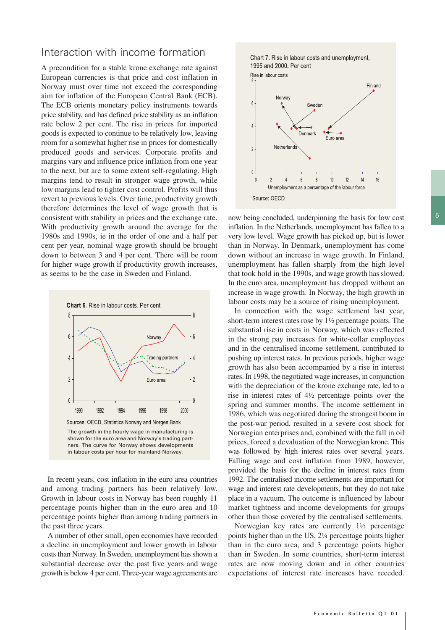#### Interaction with income formation

A precondition for a stable krone exchange rate against European currencies is that price and cost inflation in Norway must over time not exceed the corresponding aim for inflation of the European Central Bank (ECB). The ECB orients monetary policy instruments towards price stability, and has defined price stability as an inflation rate below 2 per cent. The rise in prices for imported goods is expected to continue to be relatively low, leaving room for a somewhat higher rise in prices for domestically produced goods and services. Corporate profits and margins vary and influence price inflation from one year to the next, but are to some extent self-regulating. High margins tend to result in stronger wage growth, while low margins lead to tighter cost control. Profits will thus revert to previous levels. Over time, productivity growth therefore determines the level of wage growth that is consistent with stability in prices and the exchange rate. With productivity growth around the average for the 1980s and 1990s, ie in the order of one and a half per cent per year, nominal wage growth should be brought down to between 3 and 4 per cent. There will be room for higher wage growth if productivity growth increases, as seems to be the case in Sweden and Finland.



In recent years, cost inflation in the euro area countries and among trading partners has been relatively low. Growth in labour costs in Norway has been roughly 11 percentage points higher than in the euro area and 10 percentage points higher than among trading partners in the past three years.

A number of other small, open economies have recorded a decline in unemployment and lower growth in labour costs than Norway. In Sweden, unemployment has shown a substantial decrease over the past five years and wage growth is below 4 per cent. Three-year wage agreements are





now being concluded, underpinning the basis for low cost inflation. In the Netherlands, unemployment has fallen to a very low level. Wage growth has picked up, but is lower than in Norway. In Denmark, unemployment has come down without an increase in wage growth. In Finland, unemployment has fallen sharply from the high level that took hold in the 1990s, and wage growth has slowed. In the euro area, unemployment has dropped without an increase in wage growth. In Norway, the high growth in labour costs may be a source of rising unemployment.

In connection with the wage settlement last year, short-term interest rates rose by 1½ percentage points. The substantial rise in costs in Norway, which was reflected in the strong pay increases for white-collar employees and in the centralised income settlement, contributed to pushing up interest rates. In previous periods, higher wage growth has also been accompanied by a rise in interest rates. In 1998, the negotiated wage increases, in conjunction with the depreciation of the krone exchange rate, led to a rise in interest rates of 4½ percentage points over the spring and summer months. The income settlement in 1986, which was negotiated during the strongest boom in the post-war period, resulted in a severe cost shock for Norwegian enterprises and, combined with the fall in oil prices, forced a devaluation of the Norwegian krone. This was followed by high interest rates over several years. Falling wage and cost inflation from 1989, however, provided the basis for the decline in interest rates from 1992. The centralised income settlements are important for wage and interest rate developments, but they do not take place in a vacuum. The outcome is influenced by labour market tightness and income developments for groups other than those covered by the centralised settlements.

Norwegian key rates are currently 1½ percentage points higher than in the US, 2¼ percentage points higher than in the euro area, and 3 percentage points higher than in Sweden. In some countries, short-term interest rates are now moving down and in other countries expectations of interest rate increases have receded.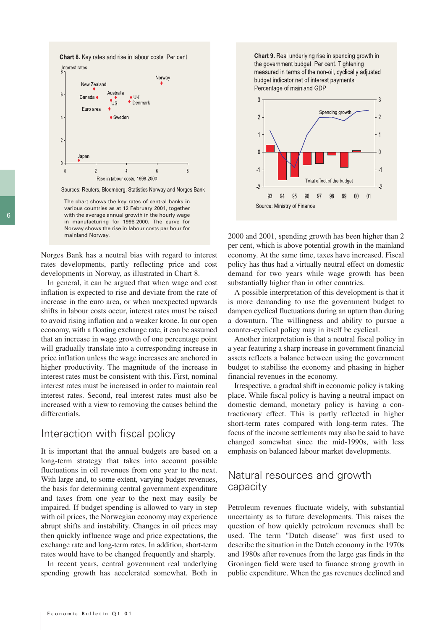



Sources: Reuters, Bloomberg, Statistics Norway and Norges Bank

The chart shows the key rates of central banks in various countries as at 12 February 2001, together with the average annual growth in the hourly wage in manufacturing for 1998-2000. The curve for Norway shows the rise in labour costs per hour for mainland Norway.

Norges Bank has a neutral bias with regard to interest rates developments, partly reflecting price and cost developments in Norway, as illustrated in Chart 8.

In general, it can be argued that when wage and cost inflation is expected to rise and deviate from the rate of increase in the euro area, or when unexpected upwards shifts in labour costs occur, interest rates must be raised to avoid rising inflation and a weaker krone. In our open economy, with a floating exchange rate, it can be assumed that an increase in wage growth of one percentage point will gradually translate into a corresponding increase in price inflation unless the wage increases are anchored in higher productivity. The magnitude of the increase in interest rates must be consistent with this. First, nominal interest rates must be increased in order to maintain real interest rates. Second, real interest rates must also be increased with a view to removing the causes behind the differentials.

## Interaction with fiscal policy

It is important that the annual budgets are based on a long-term strategy that takes into account possible fluctuations in oil revenues from one year to the next. With large and, to some extent, varying budget revenues, the basis for determining central government expenditure and taxes from one year to the next may easily be impaired. If budget spending is allowed to vary in step with oil prices, the Norwegian economy may experience abrupt shifts and instability. Changes in oil prices may then quickly influence wage and price expectations, the exchange rate and long-term rates. In addition, short-term rates would have to be changed frequently and sharply.

In recent years, central government real underlying spending growth has accelerated somewhat. Both in

Chart 9. Real underlying rise in spending growth in the government budget. Per cent. Tightening measured in terms of the non-oil, cyclically adjusted budget indicator net of interest payments. Percentage of mainland GDP.



2000 and 2001, spending growth has been higher than 2 per cent, which is above potential growth in the mainland economy. At the same time, taxes have increased. Fiscal policy has thus had a virtually neutral effect on domestic demand for two years while wage growth has been substantially higher than in other countries.

A possible interpretation of this development is that it is more demanding to use the government budget to dampen cyclical fluctuations during an upturn than during a downturn. The willingness and ability to pursue a counter-cyclical policy may in itself be cyclical.

Another interpretation is that a neutral fiscal policy in a year featuring a sharp increase in government financial assets reflects a balance between using the government budget to stabilise the economy and phasing in higher financial revenues in the economy.

Irrespective, a gradual shift in economic policy is taking place. While fiscal policy is having a neutral impact on domestic demand, monetary policy is having a contractionary effect. This is partly reflected in higher short-term rates compared with long-term rates. The focus of the income settlements may also be said to have changed somewhat since the mid-1990s, with less emphasis on balanced labour market developments.

## Natural resources and growth capacity

Petroleum revenues fluctuate widely, with substantial uncertainty as to future developments. This raises the question of how quickly petroleum revenues shall be used. The term "Dutch disease" was first used to describe the situation in the Dutch economy in the 1970s and 1980s after revenues from the large gas finds in the Groningen field were used to finance strong growth in public expenditure. When the gas revenues declined and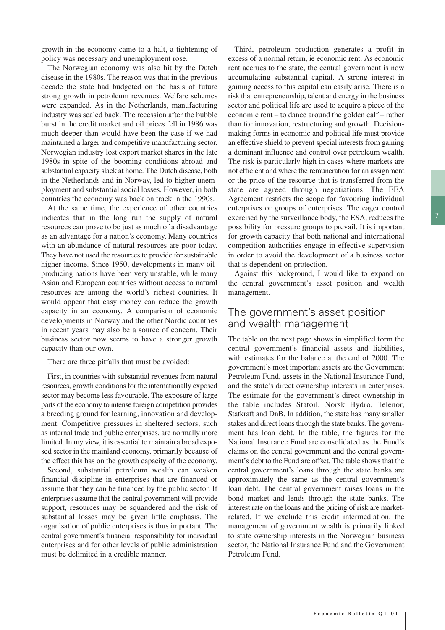growth in the economy came to a halt, a tightening of policy was necessary and unemployment rose.

The Norwegian economy was also hit by the Dutch disease in the 1980s. The reason was that in the previous decade the state had budgeted on the basis of future strong growth in petroleum revenues. Welfare schemes were expanded. As in the Netherlands, manufacturing industry was scaled back. The recession after the bubble burst in the credit market and oil prices fell in 1986 was much deeper than would have been the case if we had maintained a larger and competitive manufacturing sector. Norwegian industry lost export market shares in the late 1980s in spite of the booming conditions abroad and substantial capacity slack at home. The Dutch disease, both in the Netherlands and in Norway, led to higher unemployment and substantial social losses. However, in both countries the economy was back on track in the 1990s.

At the same time, the experience of other countries indicates that in the long run the supply of natural resources can prove to be just as much of a disadvantage as an advantage for a nation's economy. Many countries with an abundance of natural resources are poor today. They have not used the resources to provide for sustainable higher income. Since 1950, developments in many oilproducing nations have been very unstable, while many Asian and European countries without access to natural resources are among the world's richest countries. It would appear that easy money can reduce the growth capacity in an economy. A comparison of economic developments in Norway and the other Nordic countries in recent years may also be a source of concern. Their business sector now seems to have a stronger growth capacity than our own.

There are three pitfalls that must be avoided:

First, in countries with substantial revenues from natural resources, growth conditions for the internationally exposed sector may become less favourable. The exposure of large parts of the economy to intense foreign competition provides a breeding ground for learning, innovation and development. Competitive pressures in sheltered sectors, such as internal trade and public enterprises, are normally more limited. In my view, it is essential to maintain a broad exposed sector in the mainland economy, primarily because of the effect this has on the growth capacity of the economy.

Second, substantial petroleum wealth can weaken financial discipline in enterprises that are financed or assume that they can be financed by the public sector. If enterprises assume that the central government will provide support, resources may be squandered and the risk of substantial losses may be given little emphasis. The organisation of public enterprises is thus important. The central government's financial responsibility for individual enterprises and for other levels of public administration must be delimited in a credible manner.

Third, petroleum production generates a profit in excess of a normal return, ie economic rent. As economic rent accrues to the state, the central government is now accumulating substantial capital. A strong interest in gaining access to this capital can easily arise. There is a risk that entrepreneurship, talent and energy in the business sector and political life are used to acquire a piece of the economic rent – to dance around the golden calf – rather than for innovation, restructuring and growth. Decisionmaking forms in economic and political life must provide an effective shield to prevent special interests from gaining a dominant influence and control over petroleum wealth. The risk is particularly high in cases where markets are not efficient and where the remuneration for an assignment or the price of the resource that is transferred from the state are agreed through negotiations. The EEA Agreement restricts the scope for favouring individual enterprises or groups of enterprises. The eager control exercised by the surveillance body, the ESA, reduces the possibility for pressure groups to prevail. It is important for growth capacity that both national and international competition authorities engage in effective supervision in order to avoid the development of a business sector that is dependent on protection.

Against this background, I would like to expand on the central government's asset position and wealth management.

## The government's asset position and wealth management

The table on the next page shows in simplified form the central government's financial assets and liabilities, with estimates for the balance at the end of 2000. The government's most important assets are the Government Petroleum Fund, assets in the National Insurance Fund, and the state's direct ownership interests in enterprises. The estimate for the government's direct ownership in the table includes Statoil, Norsk Hydro, Telenor, Statkraft and DnB. In addition, the state has many smaller stakes and direct loans through the state banks. The government has loan debt. In the table, the figures for the National Insurance Fund are consolidated as the Fund's claims on the central government and the central government's debt to the Fund are offset. The table shows that the central government's loans through the state banks are approximately the same as the central government's loan debt. The central government raises loans in the bond market and lends through the state banks. The interest rate on the loans and the pricing of risk are marketrelated. If we exclude this credit intermediation, the management of government wealth is primarily linked to state ownership interests in the Norwegian business sector, the National Insurance Fund and the Government Petroleum Fund.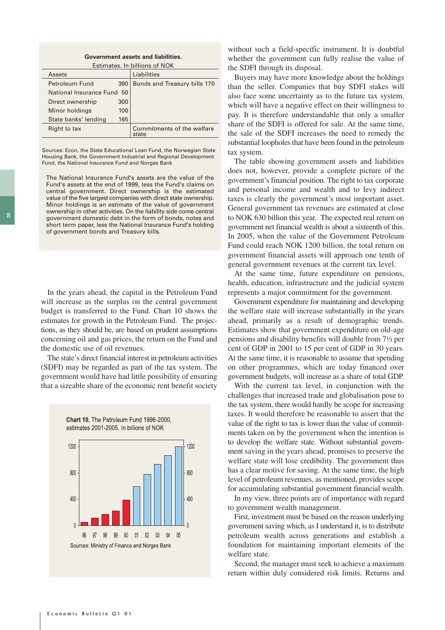| Government assets and liabilities.      |     |                                     |
|-----------------------------------------|-----|-------------------------------------|
| Estimates. In billions of NOK           |     |                                     |
| Assets                                  |     | Liabilities                         |
| Petroleum Fund                          | 390 | Bonds and Treasury bills 170        |
| National Insurance Fund<br>$50^{\circ}$ |     |                                     |
| Direct ownership                        | 300 |                                     |
| Minor holdings                          | 100 |                                     |
| State banks' lending                    | 165 |                                     |
| Right to tax                            |     | Commitments of the welfare<br>state |

Sources: Econ, the State Educational Loan Fund, the Norwegian State Housing Bank, the Government Industrial and Regional Development Fund, the National Insurance Fund and Norges Bank

The National Insurance Fund's assets are the value of the Fund's assets at the end of 1999, less the Fund's claims on central government. Direct ownership is the estimated value of the five largest companies with direct state ownership. Minor holdings is an estimate of the value of government ownership in other activities. On the liability side come central government domestic debt in the form of bonds, notes and short term paper, less the National Insurance Fund's holding of government bonds and Treasury bills.

In the years ahead, the capital in the Petroleum Fund will increase as the surplus on the central government budget is transferred to the Fund. Chart 10 shows the estimates for growth in the Petroleum Fund. The projections, as they should be, are based on prudent assumptions concerning oil and gas prices, the return on the Fund and the domestic use of oil revenues.

The state's direct financial interest in petroleum activities (SDFI) may be regarded as part of the tax system. The government would have had little possibility of ensuring that a sizeable share of the economic rent benefit society



without such a field-specific instrument. It is doubtful whether the government can fully realise the value of the SDFI through its disposal.

Buyers may have more knowledge about the holdings than the seller. Companies that buy SDFI stakes will also face some uncertainty as to the future tax system, which will have a negative effect on their willingness to pay. It is therefore understandable that only a smaller share of the SDFI is offered for sale. At the same time, the sale of the SDFI increases the need to remedy the substantial loopholes that have been found in the petroleum tax system.

The table showing government assets and liabilities does not, however, provide a complete picture of the government's financial position. The right to tax corporate and personal income and wealth and to levy indirect taxes is clearly the government's most important asset. General government tax revenues are estimated at close to NOK 630 billion this year. The expected real return on government net financial wealth is about a sixteenth of this. In 2005, when the value of the Government Petroleum Fund could reach NOK 1200 billion, the total return on government financial assets will approach one tenth of general government revenues at the current tax level.

At the same time, future expenditure on pensions, health, education, infrastructure and the judicial system represents a major commitment for the government.

Government expenditure for maintaining and developing the welfare state will increase substantially in the years ahead, primarily as a result of demographic trends. Estimates show that government expenditure on old-age pensions and disability benefits will double from 7½ per cent of GDP in 2001 to 15 per cent of GDP in 30 years. At the same time, it is reasonable to assume that spending on other programmes, which are today financed over government budgets, will increase as a share of total GDP.

With the current tax level, in conjunction with the challenges that increased trade and globalisation pose to the tax system, there would hardly be scope for increasing taxes. It would therefore be reasonable to assert that the value of the right to tax is lower than the value of commitments taken on by the government when the intention is to develop the welfare state. Without substantial government saving in the years ahead, promises to preserve the welfare state will lose credibility. The government thus has a clear motive for saving. At the same time, the high level of petroleum revenues, as mentioned, provides scope for accumulating substantial government financial wealth.

In my view, three points are of importance with regard to government wealth management.

First, investment must be based on the reason underlying government saving which, as I understand it, is to distribute petroleum wealth across generations and establish a foundation for maintaining important elements of the welfare state.

Second, the manager must seek to achieve a maximum return within duly considered risk limits. Returns and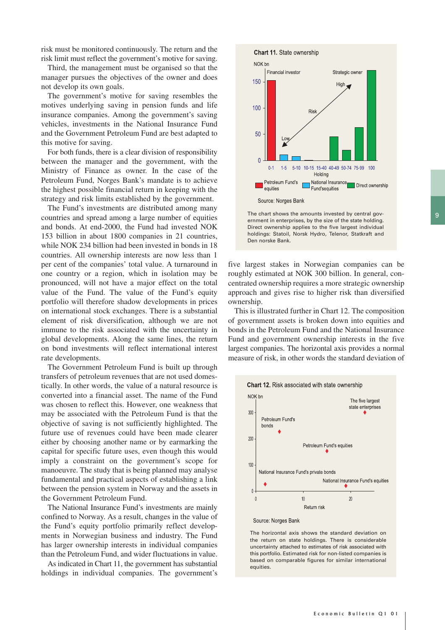risk must be monitored continuously. The return and the risk limit must reflect the government's motive for saving.

Third, the management must be organised so that the manager pursues the objectives of the owner and does not develop its own goals.

The government's motive for saving resembles the motives underlying saving in pension funds and life insurance companies. Among the government's saving vehicles, investments in the National Insurance Fund and the Government Petroleum Fund are best adapted to this motive for saving.

For both funds, there is a clear division of responsibility between the manager and the government, with the Ministry of Finance as owner. In the case of the Petroleum Fund, Norges Bank's mandate is to achieve the highest possible financial return in keeping with the strategy and risk limits established by the government.

The Fund's investments are distributed among many countries and spread among a large number of equities and bonds. At end-2000, the Fund had invested NOK 153 billion in about 1800 companies in 21 countries, while NOK 234 billion had been invested in bonds in 18 countries. All ownership interests are now less than 1 per cent of the companies' total value. A turnaround in one country or a region, which in isolation may be pronounced, will not have a major effect on the total value of the Fund. The value of the Fund's equity portfolio will therefore shadow developments in prices on international stock exchanges. There is a substantial element of risk diversification, although we are not immune to the risk associated with the uncertainty in global developments. Along the same lines, the return on bond investments will reflect international interest rate developments.

The Government Petroleum Fund is built up through transfers of petroleum revenues that are not used domestically. In other words, the value of a natural resource is converted into a financial asset. The name of the Fund was chosen to reflect this. However, one weakness that may be associated with the Petroleum Fund is that the objective of saving is not sufficiently highlighted. The future use of revenues could have been made clearer either by choosing another name or by earmarking the capital for specific future uses, even though this would imply a constraint on the government's scope for manoeuvre. The study that is being planned may analyse fundamental and practical aspects of establishing a link between the pension system in Norway and the assets in the Government Petroleum Fund.

The National Insurance Fund's investments are mainly confined to Norway. As a result, changes in the value of the Fund's equity portfolio primarily reflect developments in Norwegian business and industry. The Fund has larger ownership interests in individual companies than the Petroleum Fund, and wider fluctuations in value.

As indicated in Chart 11, the government has substantial holdings in individual companies. The government's



The chart shows the amounts invested by central government in enterprises, by the size of the state holding. Direct ownership applies to the five largest individual holdings: Statoil, Norsk Hydro, Telenor, Statkraft and Den norske Bank.

five largest stakes in Norwegian companies can be roughly estimated at NOK 300 billion. In general, concentrated ownership requires a more strategic ownership approach and gives rise to higher risk than diversified ownership.

This is illustrated further in Chart 12. The composition of government assets is broken down into equities and bonds in the Petroleum Fund and the National Insurance Fund and government ownership interests in the five largest companies. The horizontal axis provides a normal measure of risk, in other words the standard deviation of





The horizontal axis shows the standard deviation on the return on state holdings. There is considerable uncertainty attached to estimates of risk associated with this portfolio. Estimated risk for non-listed companies is based on comparable figures for similar international equities.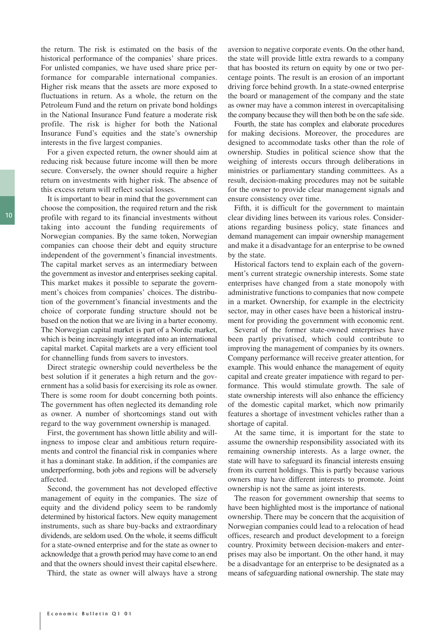the return. The risk is estimated on the basis of the historical performance of the companies' share prices. For unlisted companies, we have used share price performance for comparable international companies. Higher risk means that the assets are more exposed to fluctuations in return. As a whole, the return on the Petroleum Fund and the return on private bond holdings in the National Insurance Fund feature a moderate risk profile. The risk is higher for both the National Insurance Fund's equities and the state's ownership interests in the five largest companies.

For a given expected return, the owner should aim at reducing risk because future income will then be more secure. Conversely, the owner should require a higher return on investments with higher risk. The absence of this excess return will reflect social losses.

It is important to bear in mind that the government can choose the composition, the required return and the risk profile with regard to its financial investments without taking into account the funding requirements of Norwegian companies. By the same token, Norwegian companies can choose their debt and equity structure independent of the government's financial investments. The capital market serves as an intermediary between the government as investor and enterprises seeking capital. This market makes it possible to separate the government's choices from companies' choices. The distribution of the government's financial investments and the choice of corporate funding structure should not be based on the notion that we are living in a barter economy. The Norwegian capital market is part of a Nordic market, which is being increasingly integrated into an international capital market. Capital markets are a very efficient tool for channelling funds from savers to investors.

Direct strategic ownership could nevertheless be the best solution if it generates a high return and the government has a solid basis for exercising its role as owner. There is some room for doubt concerning both points. The government has often neglected its demanding role as owner. A number of shortcomings stand out with regard to the way government ownership is managed.

First, the government has shown little ability and willingness to impose clear and ambitious return requirements and control the financial risk in companies where it has a dominant stake. In addition, if the companies are underperforming, both jobs and regions will be adversely affected.

Second, the government has not developed effective management of equity in the companies. The size of equity and the dividend policy seem to be randomly determined by historical factors. New equity management instruments, such as share buy-backs and extraordinary dividends, are seldom used. On the whole, it seems difficult for a state-owned enterprise and for the state as owner to acknowledge that a growth period may have come to an end and that the owners should invest their capital elsewhere.

Third, the state as owner will always have a strong

aversion to negative corporate events. On the other hand, the state will provide little extra rewards to a company that has boosted its return on equity by one or two percentage points. The result is an erosion of an important driving force behind growth. In a state-owned enterprise the board or management of the company and the state as owner may have a common interest in overcapitalising the company because they will then both be on the safe side.

Fourth, the state has complex and elaborate procedures for making decisions. Moreover, the procedures are designed to accommodate tasks other than the role of ownership. Studies in political science show that the weighing of interests occurs through deliberations in ministries or parliamentary standing committees. As a result, decision-making procedures may not be suitable for the owner to provide clear management signals and ensure consistency over time.

Fifth, it is difficult for the government to maintain clear dividing lines between its various roles. Considerations regarding business policy, state finances and demand management can impair ownership management and make it a disadvantage for an enterprise to be owned by the state.

Historical factors tend to explain each of the government's current strategic ownership interests. Some state enterprises have changed from a state monopoly with administrative functions to companies that now compete in a market. Ownership, for example in the electricity sector, may in other cases have been a historical instrument for providing the government with economic rent.

Several of the former state-owned enterprises have been partly privatised, which could contribute to improving the management of companies by its owners. Company performance will receive greater attention, for example. This would enhance the management of equity capital and create greater impatience with regard to performance. This would stimulate growth. The sale of state ownership interests will also enhance the efficiency of the domestic capital market, which now primarily features a shortage of investment vehicles rather than a shortage of capital.

At the same time, it is important for the state to assume the ownership responsibility associated with its remaining ownership interests. As a large owner, the state will have to safeguard its financial interests ensuing from its current holdings. This is partly because various owners may have different interests to promote. Joint ownership is not the same as joint interests.

The reason for government ownership that seems to have been highlighted most is the importance of national ownership. There may be concern that the acquisition of Norwegian companies could lead to a relocation of head offices, research and product development to a foreign country. Proximity between decision-makers and enterprises may also be important. On the other hand, it may be a disadvantage for an enterprise to be designated as a means of safeguarding national ownership. The state may